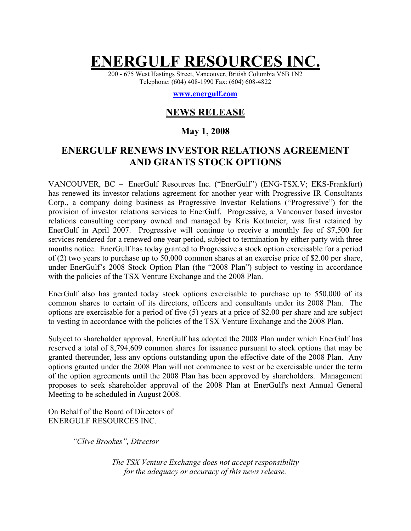# **ENERGULF RESOURCES INC.**

200 - 675 West Hastings Street, Vancouver, British Columbia V6B 1N2 Telephone: (604) 408-1990 Fax: (604) 608-4822

#### **www.energulf.com**

## **NEWS RELEASE**

#### **May 1, 2008**

### **ENERGULF RENEWS INVESTOR RELATIONS AGREEMENT AND GRANTS STOCK OPTIONS**

VANCOUVER, BC – EnerGulf Resources Inc. ("EnerGulf") (ENG-TSX.V; EKS-Frankfurt) has renewed its investor relations agreement for another year with Progressive IR Consultants Corp., a company doing business as Progressive Investor Relations ("Progressive") for the provision of investor relations services to EnerGulf. Progressive, a Vancouver based investor relations consulting company owned and managed by Kris Kottmeier, was first retained by EnerGulf in April 2007. Progressive will continue to receive a monthly fee of \$7,500 for services rendered for a renewed one year period, subject to termination by either party with three months notice.EnerGulf has today granted to Progressive a stock option exercisable for a period of (2) two years to purchase up to 50,000 common shares at an exercise price of \$2.00 per share, under EnerGulf's 2008 Stock Option Plan (the "2008 Plan") subject to vesting in accordance with the policies of the TSX Venture Exchange and the 2008 Plan.

EnerGulf also has granted today stock options exercisable to purchase up to 550,000 of its common shares to certain of its directors, officers and consultants under its 2008 Plan. The options are exercisable for a period of five (5) years at a price of \$2.00 per share and are subject to vesting in accordance with the policies of the TSX Venture Exchange and the 2008 Plan.

Subject to shareholder approval, EnerGulf has adopted the 2008 Plan under which EnerGulf has reserved a total of 8,794,609 common shares for issuance pursuant to stock options that may be granted thereunder, less any options outstanding upon the effective date of the 2008 Plan. Any options granted under the 2008 Plan will not commence to vest or be exercisable under the term of the option agreements until the 2008 Plan has been approved by shareholders. Management proposes to seek shareholder approval of the 2008 Plan at EnerGulf's next Annual General Meeting to be scheduled in August 2008.

On Behalf of the Board of Directors of ENERGULF RESOURCES INC.

*"Clive Brookes", Director* 

*The TSX Venture Exchange does not accept responsibility for the adequacy or accuracy of this news release.*